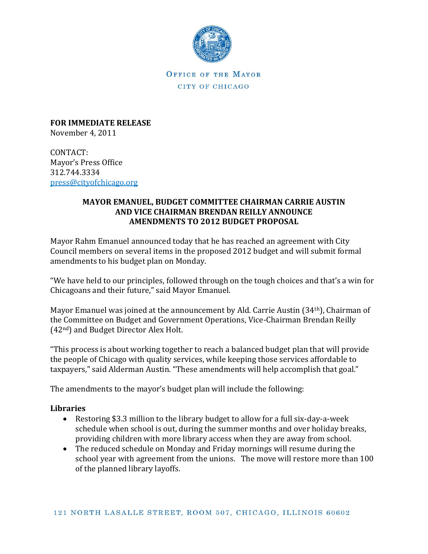

OFFICE OF THE MAYOR CITY OF CHICAGO

**FOR IMMEDIATE RELEASE** November 4, 2011

CONTACT: Mayor's Press Office 312.744.3334 [press@cityofchicago.org](mailto:press@cityofchicago.org)

# **MAYOR EMANUEL, BUDGET COMMITTEE CHAIRMAN CARRIE AUSTIN AND VICE CHAIRMAN BRENDAN REILLY ANNOUNCE AMENDMENTS TO 2012 BUDGET PROPOSAL**

Mayor Rahm Emanuel announced today that he has reached an agreement with City Council members on several items in the proposed 2012 budget and will submit formal amendments to his budget plan on Monday.

"We have held to our principles, followed through on the tough choices and that's a win for Chicagoans and their future," said Mayor Emanuel.

Mayor Emanuel was joined at the announcement by Ald. Carrie Austin (34th), Chairman of the Committee on Budget and Government Operations, Vice-Chairman Brendan Reilly (42nd) and Budget Director Alex Holt.

"This process is about working together to reach a balanced budget plan that will provide the people of Chicago with quality services, while keeping those services affordable to taxpayers," said Alderman Austin. "These amendments will help accomplish that goal."

The amendments to the mayor's budget plan will include the following:

# **Libraries**

- Restoring \$3.3 million to the library budget to allow for a full six-day-a-week schedule when school is out, during the summer months and over holiday breaks, providing children with more library access when they are away from school.
- The reduced schedule on Monday and Friday mornings will resume during the school year with agreement from the unions. The move will restore more than 100 of the planned library layoffs.